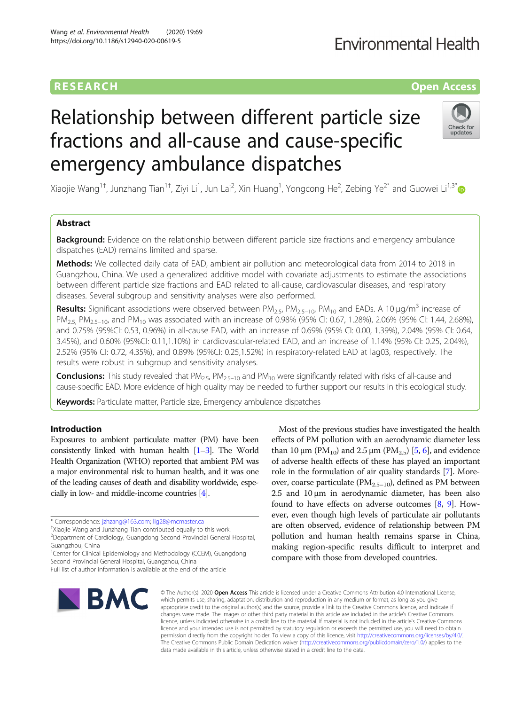## **Environmental Health**

## **RESEARCH CHE Open Access**

# Relationship between different particle size fractions and all-cause and cause-specific emergency ambulance dispatches



Xiaojie Wang $^{1\dagger}$ , Junzhang Tian $^{1\dagger}$ , Ziyi Li $^1$ , Jun Lai $^2$ , Xin Huang $^1$ , Yongcong He $^2$ , Zebing Ye $^{2*}$  $^{2*}$  $^{2*}$  and Guowei Li $^{1,3^*}$ 

## Abstract

**Background:** Evidence on the relationship between different particle size fractions and emergency ambulance dispatches (EAD) remains limited and sparse.

Methods: We collected daily data of EAD, ambient air pollution and meteorological data from 2014 to 2018 in Guangzhou, China. We used a generalized additive model with covariate adjustments to estimate the associations between different particle size fractions and EAD related to all-cause, cardiovascular diseases, and respiratory diseases. Several subgroup and sensitivity analyses were also performed.

**Results:** Significant associations were observed between  $PM_{2.5}$ ,  $PM_{2.5-10}$ ,  $PM_{10}$  and EADs. A 10 µg/m<sup>3</sup> increase of PM<sub>2.5</sub>, PM<sub>2.5–10</sub>, and PM<sub>10</sub> was associated with an increase of 0.98% (95% CI: 0.67, 1.28%), 2.06% (95% CI: 1.44, 2.68%), and 0.75% (95%CI: 0.53, 0.96%) in all-cause EAD, with an increase of 0.69% (95% CI: 0.00, 1.39%), 2.04% (95% CI: 0.64, 3.45%), and 0.60% (95%CI: 0.11,1.10%) in cardiovascular-related EAD, and an increase of 1.14% (95% CI: 0.25, 2.04%), 2.52% (95% CI: 0.72, 4.35%), and 0.89% (95%CI: 0.25,1.52%) in respiratory-related EAD at lag03, respectively. The results were robust in subgroup and sensitivity analyses.

**Conclusions:** This study revealed that  $PM_{2.5}$ ,  $PM_{2.5-10}$  and  $PM_{10}$  were significantly related with risks of all-cause and cause-specific EAD. More evidence of high quality may be needed to further support our results in this ecological study.

Keywords: Particulate matter, Particle size, Emergency ambulance dispatches

## Introduction

Exposures to ambient particulate matter (PM) have been consistently linked with human health [\[1](#page-7-0)–[3\]](#page-7-0). The World Health Organization (WHO) reported that ambient PM was a major environmental risk to human health, and it was one of the leading causes of death and disability worldwide, especially in low- and middle-income countries [\[4\]](#page-7-0).

Second Provincial General Hospital, Guangzhou, China

Full list of author information is available at the end of the article



Most of the previous studies have investigated the health effects of PM pollution with an aerodynamic diameter less than 10  $\mu$ m (PM<sub>10</sub>) and 2.5  $\mu$ m (PM<sub>2.5</sub>) [[5,](#page-7-0) [6\]](#page-7-0), and evidence of adverse health effects of these has played an important role in the formulation of air quality standards [[7\]](#page-7-0). Moreover, coarse particulate ( $PM_{2.5-10}$ ), defined as PM between 2.5 and 10 μm in aerodynamic diameter, has been also found to have effects on adverse outcomes [[8](#page-7-0), [9](#page-7-0)]. However, even though high levels of particulate air pollutants are often observed, evidence of relationship between PM pollution and human health remains sparse in China, making region-specific results difficult to interpret and compare with those from developed countries.

© The Author(s), 2020 **Open Access** This article is licensed under a Creative Commons Attribution 4.0 International License, which permits use, sharing, adaptation, distribution and reproduction in any medium or format, as long as you give appropriate credit to the original author(s) and the source, provide a link to the Creative Commons licence, and indicate if changes were made. The images or other third party material in this article are included in the article's Creative Commons licence, unless indicated otherwise in a credit line to the material. If material is not included in the article's Creative Commons licence and your intended use is not permitted by statutory regulation or exceeds the permitted use, you will need to obtain permission directly from the copyright holder. To view a copy of this licence, visit [http://creativecommons.org/licenses/by/4.0/.](http://creativecommons.org/licenses/by/4.0/) The Creative Commons Public Domain Dedication waiver [\(http://creativecommons.org/publicdomain/zero/1.0/](http://creativecommons.org/publicdomain/zero/1.0/)) applies to the data made available in this article, unless otherwise stated in a credit line to the data.

<sup>\*</sup> Correspondence: [jzhzang@163.com](mailto:jzhzang@163.com); [lig28@mcmaster.ca](mailto:lig28@mcmaster.ca) †

<sup>&</sup>lt;sup>+</sup>Xiaojie Wang and Junzhang Tian contributed equally to this work.

<sup>2</sup> Department of Cardiology, Guangdong Second Provincial General Hospital, Guangzhou, China

<sup>&</sup>lt;sup>1</sup>Center for Clinical Epidemiology and Methodology (CCEM), Guangdong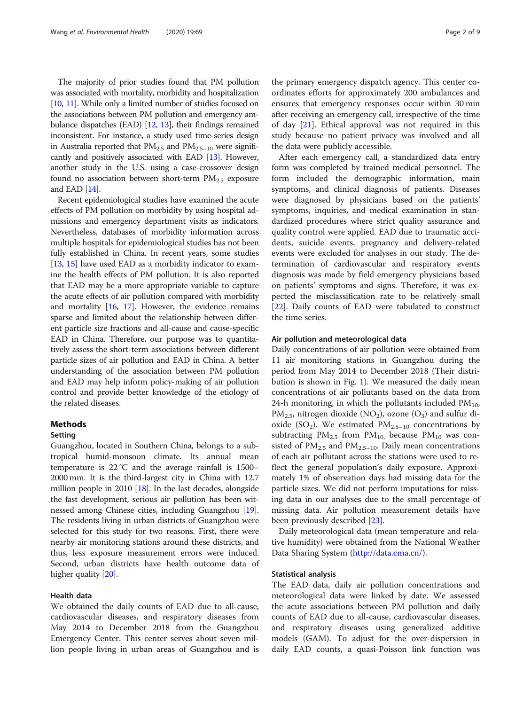The majority of prior studies found that PM pollution was associated with mortality, morbidity and hospitalization [[10](#page-7-0), [11](#page-7-0)]. While only a limited number of studies focused on the associations between PM pollution and emergency ambulance dispatches (EAD) [\[12,](#page-7-0) [13](#page-7-0)], their findings remained inconsistent. For instance, a study used time-series design in Australia reported that  $PM_{2.5}$  and  $PM_{2.5-10}$  were significantly and positively associated with EAD [[13](#page-7-0)]. However, another study in the U.S. using a case-crossover design found no association between short-term  $PM_{2.5}$  exposure and EAD [\[14\]](#page-7-0).

Recent epidemiological studies have examined the acute effects of PM pollution on morbidity by using hospital admissions and emergency department visits as indicators. Nevertheless, databases of morbidity information across multiple hospitals for epidemiological studies has not been fully established in China. In recent years, some studies [[13](#page-7-0), [15](#page-7-0)] have used EAD as a morbidity indicator to examine the health effects of PM pollution. It is also reported that EAD may be a more appropriate variable to capture the acute effects of air pollution compared with morbidity and mortality [\[16,](#page-7-0) [17\]](#page-7-0). However, the evidence remains sparse and limited about the relationship between different particle size fractions and all-cause and cause-specific EAD in China. Therefore, our purpose was to quantitatively assess the short-term associations between different particle sizes of air pollution and EAD in China. A better understanding of the association between PM pollution and EAD may help inform policy-making of air pollution control and provide better knowledge of the etiology of the related diseases.

## Methods

## Setting

Guangzhou, located in Southern China, belongs to a subtropical humid-monsoon climate. Its annual mean temperature is 22 °C and the average rainfall is 1500– 2000 mm. It is the third-largest city in China with 12.7 million people in 2010 [\[18](#page-7-0)]. In the last decades, alongside the fast development, serious air pollution has been witnessed among Chinese cities, including Guangzhou [[19](#page-8-0)]. The residents living in urban districts of Guangzhou were selected for this study for two reasons. First, there were nearby air monitoring stations around these districts, and thus, less exposure measurement errors were induced. Second, urban districts have health outcome data of higher quality [\[20](#page-8-0)].

### Health data

We obtained the daily counts of EAD due to all-cause, cardiovascular diseases, and respiratory diseases from May 2014 to December 2018 from the Guangzhou Emergency Center. This center serves about seven million people living in urban areas of Guangzhou and is

the primary emergency dispatch agency. This center coordinates efforts for approximately 200 ambulances and ensures that emergency responses occur within 30 min after receiving an emergency call, irrespective of the time of day [[21\]](#page-8-0). Ethical approval was not required in this study because no patient privacy was involved and all the data were publicly accessible.

After each emergency call, a standardized data entry form was completed by trained medical personnel. The form included the demographic information, main symptoms, and clinical diagnosis of patients. Diseases were diagnosed by physicians based on the patients' symptoms, inquiries, and medical examination in standardized procedures where strict quality assurance and quality control were applied. EAD due to traumatic accidents, suicide events, pregnancy and delivery-related events were excluded for analyses in our study. The determination of cardiovascular and respiratory events diagnosis was made by field emergency physicians based on patients' symptoms and signs. Therefore, it was expected the misclassification rate to be relatively small [[22\]](#page-8-0). Daily counts of EAD were tabulated to construct the time series.

## Air pollution and meteorological data

Daily concentrations of air pollution were obtained from 11 air monitoring stations in Guangzhou during the period from May 2014 to December 2018 (Their distribution is shown in Fig. [1](#page-2-0)). We measured the daily mean concentrations of air pollutants based on the data from 24-h monitoring, in which the pollutants included  $PM_{10}$ ,  $PM_{2.5}$ , nitrogen dioxide (NO<sub>2</sub>), ozone (O<sub>3</sub>) and sulfur dioxide (SO<sub>2</sub>). We estimated  $PM_{2.5-10}$  concentrations by subtracting  $PM_{2.5}$  from  $PM_{10}$  because  $PM_{10}$  was consisted of  $PM_{2.5}$  and  $PM_{2.5-10}$ . Daily mean concentrations of each air pollutant across the stations were used to reflect the general population's daily exposure. Approximately 1% of observation days had missing data for the particle sizes. We did not perform imputations for missing data in our analyses due to the small percentage of missing data. Air pollution measurement details have been previously described [\[23](#page-8-0)].

Daily meteorological data (mean temperature and relative humidity) were obtained from the National Weather Data Sharing System ([http://data.cma.cn/\)](http://data.cma.cn/).

#### Statistical analysis

The EAD data, daily air pollution concentrations and meteorological data were linked by date. We assessed the acute associations between PM pollution and daily counts of EAD due to all-cause, cardiovascular diseases, and respiratory diseases using generalized additive models (GAM). To adjust for the over-dispersion in daily EAD counts, a quasi-Poisson link function was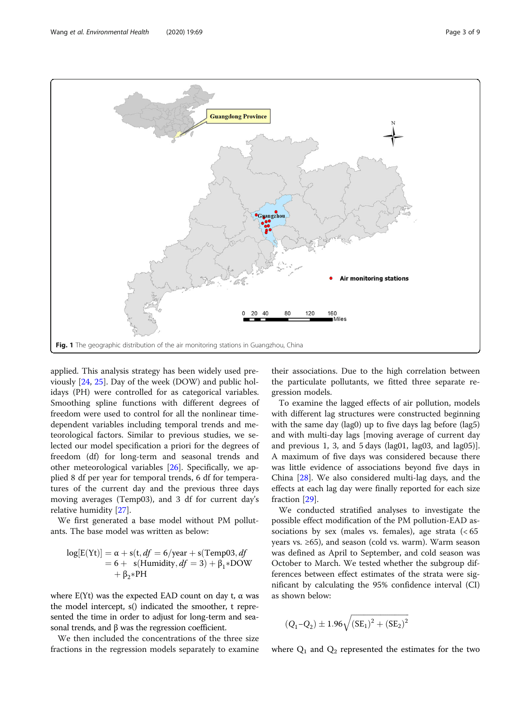<span id="page-2-0"></span>

applied. This analysis strategy has been widely used previously [\[24,](#page-8-0) [25\]](#page-8-0). Day of the week (DOW) and public holidays (PH) were controlled for as categorical variables. Smoothing spline functions with different degrees of freedom were used to control for all the nonlinear timedependent variables including temporal trends and meteorological factors. Similar to previous studies, we selected our model specification a priori for the degrees of freedom (df) for long-term and seasonal trends and other meteorological variables [\[26](#page-8-0)]. Specifically, we applied 8 df per year for temporal trends, 6 df for temperatures of the current day and the previous three days moving averages (Temp03), and 3 df for current day's relative humidity [\[27\]](#page-8-0).

We first generated a base model without PM pollutants. The base model was written as below:

$$
log[E(Yt)] = \alpha + s(t, df = 6/year + s(Temp03, df
$$
  
= 6 + s(Humidity, df = 3) +  $\beta_1$  \*DOW  
+  $\beta_2$  \*PH

where  $E(Yt)$  was the expected EAD count on day t,  $\alpha$  was the model intercept, s() indicated the smoother, t represented the time in order to adjust for long-term and seasonal trends, and β was the regression coefficient.

We then included the concentrations of the three size fractions in the regression models separately to examine their associations. Due to the high correlation between the particulate pollutants, we fitted three separate regression models.

To examine the lagged effects of air pollution, models with different lag structures were constructed beginning with the same day (lag0) up to five days lag before (lag5) and with multi-day lags [moving average of current day and previous 1, 3, and 5 days (lag01, lag03, and lag05)]. A maximum of five days was considered because there was little evidence of associations beyond five days in China [\[28](#page-8-0)]. We also considered multi-lag days, and the effects at each lag day were finally reported for each size fraction [\[29](#page-8-0)].

We conducted stratified analyses to investigate the possible effect modification of the PM pollution-EAD associations by sex (males vs. females), age strata  $\left( < 65 \right)$ years vs. ≥65), and season (cold vs. warm). Warm season was defined as April to September, and cold season was October to March. We tested whether the subgroup differences between effect estimates of the strata were significant by calculating the 95% confidence interval (CI) as shown below:

$$
(Q_1 - Q_2) \pm 1.96 \sqrt{(SE_1)^2 + (SE_2)^2}
$$

where  $Q_1$  and  $Q_2$  represented the estimates for the two

ffiffiffiffiffiffiffiffiffiffiffiffiffiffiffiffiffiffiffiffiffiffiffiffiffiffiffiffiffiffiffi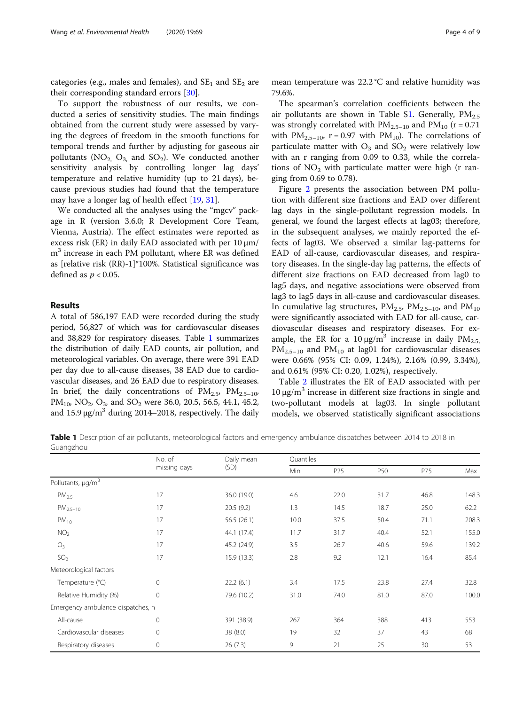categories (e.g., males and females), and  $SE<sub>1</sub>$  and  $SE<sub>2</sub>$  are their corresponding standard errors [\[30\]](#page-8-0).

To support the robustness of our results, we conducted a series of sensitivity studies. The main findings obtained from the current study were assessed by varying the degrees of freedom in the smooth functions for temporal trends and further by adjusting for gaseous air pollutants  $(NO_2, O_3, and SO_2)$ . We conducted another sensitivity analysis by controlling longer lag days' temperature and relative humidity (up to 21 days), because previous studies had found that the temperature may have a longer lag of health effect [\[19,](#page-8-0) [31\]](#page-8-0).

We conducted all the analyses using the "mgcv" package in R (version 3.6.0; R Development Core Team, Vienna, Austria). The effect estimates were reported as excess risk (ER) in daily EAD associated with per 10 μm/ m<sup>3</sup> increase in each PM pollutant, where ER was defined as [relative risk (RR)-1]\*100%. Statistical significance was defined as  $p < 0.05$ .

## Results

A total of 586,197 EAD were recorded during the study period, 56,827 of which was for cardiovascular diseases and 38,829 for respiratory diseases. Table 1 summarizes the distribution of daily EAD counts, air pollution, and meteorological variables. On average, there were 391 EAD per day due to all-cause diseases, 38 EAD due to cardiovascular diseases, and 26 EAD due to respiratory diseases. In brief, the daily concentrations of  $PM_{2.5}$ ,  $PM_{2.5-10}$ , PM<sub>10</sub>, NO<sub>2</sub>, O<sub>3</sub>, and SO<sub>2</sub> were 36.0, 20.5, 56.5, 44.1, 45.2, and  $15.9 \,\mathrm{\upmu g/m}^3$  during 2014–2018, respectively. The daily

The spearman's correlation coefficients between the air pollutants are shown in Table S[1.](#page-7-0) Generally,  $PM_{2.5}$ was strongly correlated with  $PM_{2.5-10}$  and  $PM_{10}$  (r = 0.71) with  $PM_{2.5-10}$ , r = 0.97 with  $PM_{10}$ ). The correlations of particulate matter with  $O_3$  and  $SO_2$  were relatively low with an r ranging from 0.09 to 0.33, while the correlations of  $NO<sub>2</sub>$  with particulate matter were high (r ranging from 0.69 to 0.78).

Figure [2](#page-4-0) presents the association between PM pollution with different size fractions and EAD over different lag days in the single-pollutant regression models. In general, we found the largest effects at lag03; therefore, in the subsequent analyses, we mainly reported the effects of lag03. We observed a similar lag-patterns for EAD of all-cause, cardiovascular diseases, and respiratory diseases. In the single-day lag patterns, the effects of different size fractions on EAD decreased from lag0 to lag5 days, and negative associations were observed from lag3 to lag5 days in all-cause and cardiovascular diseases. In cumulative lag structures,  $PM_{2.5}$ ,  $PM_{2.5-10}$ , and  $PM_{10}$ were significantly associated with EAD for all-cause, cardiovascular diseases and respiratory diseases. For example, the ER for a 10  $\mu$ g/m<sup>3</sup> increase in daily PM<sub>2.5</sub>,  $PM_{2.5-10}$  and  $PM_{10}$  at lag01 for cardiovascular diseases were 0.66% (95% CI: 0.09, 1.24%), 2.16% (0.99, 3.34%), and 0.61% (95% CI: 0.20, 1.02%), respectively.

Table [2](#page-4-0) illustrates the ER of EAD associated with per 10 μg/m<sup>3</sup> increase in different size fractions in single and two-pollutant models at lag03. In single pollutant models, we observed statistically significant associations

Table 1 Description of air pollutants, meteorological factors and emergency ambulance dispatches between 2014 to 2018 in Guangzhou

|                                   | No. of<br>missing days | Daily mean<br>(SD) | Quantiles |                 |      |      |       |
|-----------------------------------|------------------------|--------------------|-----------|-----------------|------|------|-------|
|                                   |                        |                    | Min       | P <sub>25</sub> | P50  | P75  | Max   |
| Pollutants, $\mu q/m^3$           |                        |                    |           |                 |      |      |       |
| PM <sub>2.5</sub>                 | 17                     | 36.0 (19.0)        | 4.6       | 22.0            | 31.7 | 46.8 | 148.3 |
| $PM_{2.5-10}$                     | 17                     | 20.5(9.2)          | 1.3       | 14.5            | 18.7 | 25.0 | 62.2  |
| $PM_{10}$                         | 17                     | 56.5(26.1)         | 10.0      | 37.5            | 50.4 | 71.1 | 208.3 |
| NO <sub>2</sub>                   | 17                     | 44.1 (17.4)        | 11.7      | 31.7            | 40.4 | 52.1 | 155.0 |
| $O_3$                             | 17                     | 45.2 (24.9)        | 3.5       | 26.7            | 40.6 | 59.6 | 139.2 |
| SO <sub>2</sub>                   | 17                     | 15.9(13.3)         | 2.8       | 9.2             | 12.1 | 16.4 | 85.4  |
| Meteorological factors            |                        |                    |           |                 |      |      |       |
| Temperature (°C)                  | $\overline{0}$         | 22.2(6.1)          | 3.4       | 17.5            | 23.8 | 27.4 | 32.8  |
| Relative Humidity (%)             | $\mathbf{0}$           | 79.6 (10.2)        | 31.0      | 74.0            | 81.0 | 87.0 | 100.0 |
| Emergency ambulance dispatches, n |                        |                    |           |                 |      |      |       |
| All-cause                         | $\mathbf 0$            | 391 (38.9)         | 267       | 364             | 388  | 413  | 553   |
| Cardiovascular diseases           | $\mathbf 0$            | 38(8.0)            | 19        | 32              | 37   | 43   | 68    |
| Respiratory diseases              | $\mathbf{0}$           | 26(7.3)            | 9         | 21              | 25   | 30   | 53    |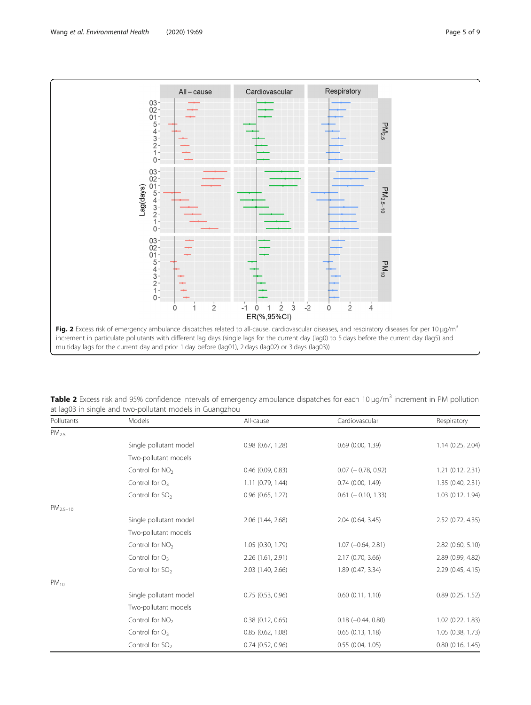<span id="page-4-0"></span>

Table 2 Excess risk and 95% confidence intervals of emergency ambulance dispatches for each 10  $\mu q/m^3$  increment in PM pollution at lag03 in single and two-pollutant models in Guangzhou

| Pollutants        | Models                      | All-cause             | Cardiovascular           | Respiratory           |
|-------------------|-----------------------------|-----------------------|--------------------------|-----------------------|
| PM <sub>2.5</sub> |                             |                       |                          |                       |
|                   | Single pollutant model      | $0.98$ $(0.67, 1.28)$ | $0.69$ $(0.00, 1.39)$    | 1.14 (0.25, 2.04)     |
|                   | Two-pollutant models        |                       |                          |                       |
|                   | Control for $NO2$           | $0.46$ (0.09, 0.83)   | $0.07$ ( $-0.78$ , 0.92) | 1.21 (0.12, 2.31)     |
|                   | Control for $O_3$           | $1.11$ (0.79, 1.44)   | $0.74$ (0.00, 1.49)      | 1.35 (0.40, 2.31)     |
|                   | Control for $SO2$           | $0.96$ $(0.65, 1.27)$ | $0.61$ ( $-0.10$ , 1.33) | 1.03 (0.12, 1.94)     |
| $PM2.5-10$        |                             |                       |                          |                       |
|                   | Single pollutant model      | 2.06 (1.44, 2.68)     | 2.04 (0.64, 3.45)        | 2.52 (0.72, 4.35)     |
|                   | Two-pollutant models        |                       |                          |                       |
|                   | Control for $NO2$           | 1.05 (0.30, 1.79)     | $1.07 (-0.64, 2.81)$     | 2.82 (0.60, 5.10)     |
|                   | Control for $O_3$           | 2.26 (1.61, 2.91)     | 2.17 (0.70, 3.66)        | 2.89 (0.99, 4.82)     |
|                   | Control for $SO2$           | 2.03 (1.40, 2.66)     | 1.89 (0.47, 3.34)        | 2.29 (0.45, 4.15)     |
| $PM_{10}$         |                             |                       |                          |                       |
|                   | Single pollutant model      | $0.75$ $(0.53, 0.96)$ | $0.60$ $(0.11, 1.10)$    | $0.89$ $(0.25, 1.52)$ |
|                   | Two-pollutant models        |                       |                          |                       |
|                   | Control for $NO2$           | $0.38$ $(0.12, 0.65)$ | $0.18 (-0.44, 0.80)$     | 1.02 (0.22, 1.83)     |
|                   | Control for $O_3$           | $0.85$ $(0.62, 1.08)$ | $0.65$ $(0.13, 1.18)$    | 1.05 (0.38, 1.73)     |
|                   | Control for SO <sub>2</sub> | $0.74$ $(0.52, 0.96)$ | 0.55(0.04, 1.05)         | $0.80$ $(0.16, 1.45)$ |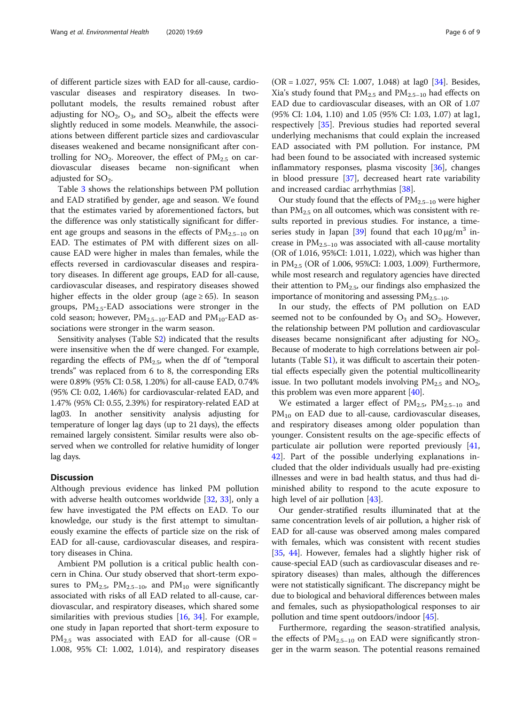of different particle sizes with EAD for all-cause, cardiovascular diseases and respiratory diseases. In twopollutant models, the results remained robust after adjusting for  $NO_2$ ,  $O_3$ , and  $SO_2$ , albeit the effects were slightly reduced in some models. Meanwhile, the associations between different particle sizes and cardiovascular diseases weakened and became nonsignificant after controlling for  $NO_2$ . Moreover, the effect of  $PM_{2.5}$  on cardiovascular diseases became non-significant when adjusted for  $SO<sub>2</sub>$ .

Table [3](#page-6-0) shows the relationships between PM pollution and EAD stratified by gender, age and season. We found that the estimates varied by aforementioned factors, but the difference was only statistically significant for different age groups and seasons in the effects of  $PM_{2.5-10}$  on EAD. The estimates of PM with different sizes on allcause EAD were higher in males than females, while the effects reversed in cardiovascular diseases and respiratory diseases. In different age groups, EAD for all-cause, cardiovascular diseases, and respiratory diseases showed higher effects in the older group (age  $\geq 65$ ). In season groups,  $PM_{2.5}$ -EAD associations were stronger in the cold season; however,  $PM_{2.5-10}$ -EAD and  $PM_{10}$ -EAD associations were stronger in the warm season.

Sensitivity analyses (Table [S2](#page-7-0)) indicated that the results were insensitive when the df were changed. For example, regarding the effects of  $PM_{2.5}$ , when the df of "temporal trends" was replaced from 6 to 8, the corresponding ERs were 0.89% (95% CI: 0.58, 1.20%) for all-cause EAD, 0.74% (95% CI: 0.02, 1.46%) for cardiovascular-related EAD, and 1.47% (95% CI: 0.55, 2.39%) for respiratory-related EAD at lag03. In another sensitivity analysis adjusting for temperature of longer lag days (up to 21 days), the effects remained largely consistent. Similar results were also observed when we controlled for relative humidity of longer lag days.

## Discussion

Although previous evidence has linked PM pollution with adverse health outcomes worldwide [[32,](#page-8-0) [33\]](#page-8-0), only a few have investigated the PM effects on EAD. To our knowledge, our study is the first attempt to simultaneously examine the effects of particle size on the risk of EAD for all-cause, cardiovascular diseases, and respiratory diseases in China.

Ambient PM pollution is a critical public health concern in China. Our study observed that short-term exposures to  $PM_{2.5}$ ,  $PM_{2.5-10}$ , and  $PM_{10}$  were significantly associated with risks of all EAD related to all-cause, cardiovascular, and respiratory diseases, which shared some similarities with previous studies [\[16,](#page-7-0) [34\]](#page-8-0). For example, one study in Japan reported that short-term exposure to  $PM_{2.5}$  was associated with EAD for all-cause (OR = 1.008, 95% CI: 1.002, 1.014), and respiratory diseases

(OR = 1.027, 95% CI: 1.007, 1.048) at lag0 [\[34](#page-8-0)]. Besides, Xia's study found that  $PM_{2.5}$  and  $PM_{2.5-10}$  had effects on EAD due to cardiovascular diseases, with an OR of 1.07 (95% CI: 1.04, 1.10) and 1.05 (95% CI: 1.03, 1.07) at lag1, respectively [[35\]](#page-8-0). Previous studies had reported several underlying mechanisms that could explain the increased EAD associated with PM pollution. For instance, PM had been found to be associated with increased systemic inflammatory responses, plasma viscosity [\[36](#page-8-0)], changes in blood pressure [[37\]](#page-8-0), decreased heart rate variability and increased cardiac arrhythmias [[38\]](#page-8-0).

Our study found that the effects of  $PM_{2.5-10}$  were higher than  $PM_{2.5}$  on all outcomes, which was consistent with results reported in previous studies. For instance, a time-series study in Japan [[39](#page-8-0)] found that each  $10 \mu g/m^3$  increase in  $PM_{2.5-10}$  was associated with all-cause mortality (OR of 1.016, 95%CI: 1.011, 1.022), which was higher than in  $PM_{2.5}$  (OR of 1.006, 95%CI: 1.003, 1.009). Furthermore, while most research and regulatory agencies have directed their attention to  $PM_{2.5}$ , our findings also emphasized the importance of monitoring and assessing  $PM_{2.5-10}$ .

In our study, the effects of PM pollution on EAD seemed not to be confounded by  $O_3$  and  $SO_2$ . However, the relationship between PM pollution and cardiovascular diseases became nonsignificant after adjusting for  $NO<sub>2</sub>$ . Because of moderate to high correlations between air pollutants (Table [S1](#page-7-0)), it was difficult to ascertain their potential effects especially given the potential multicollinearity issue. In two pollutant models involving  $PM_{2.5}$  and  $NO_2$ , this problem was even more apparent [\[40\]](#page-8-0).

We estimated a larger effect of  $PM_{2.5}$ ,  $PM_{2.5-10}$  and  $PM_{10}$  on EAD due to all-cause, cardiovascular diseases, and respiratory diseases among older population than younger. Consistent results on the age-specific effects of particulate air pollution were reported previously [[41](#page-8-0), [42\]](#page-8-0). Part of the possible underlying explanations included that the older individuals usually had pre-existing illnesses and were in bad health status, and thus had diminished ability to respond to the acute exposure to high level of air pollution [[43](#page-8-0)].

Our gender-stratified results illuminated that at the same concentration levels of air pollution, a higher risk of EAD for all-cause was observed among males compared with females, which was consistent with recent studies [[35](#page-8-0), [44\]](#page-8-0). However, females had a slightly higher risk of cause-special EAD (such as cardiovascular diseases and respiratory diseases) than males, although the differences were not statistically significant. The discrepancy might be due to biological and behavioral differences between males and females, such as physiopathological responses to air pollution and time spent outdoors/indoor [\[45\]](#page-8-0).

Furthermore, regarding the season-stratified analysis, the effects of  $PM_{2.5-10}$  on EAD were significantly stronger in the warm season. The potential reasons remained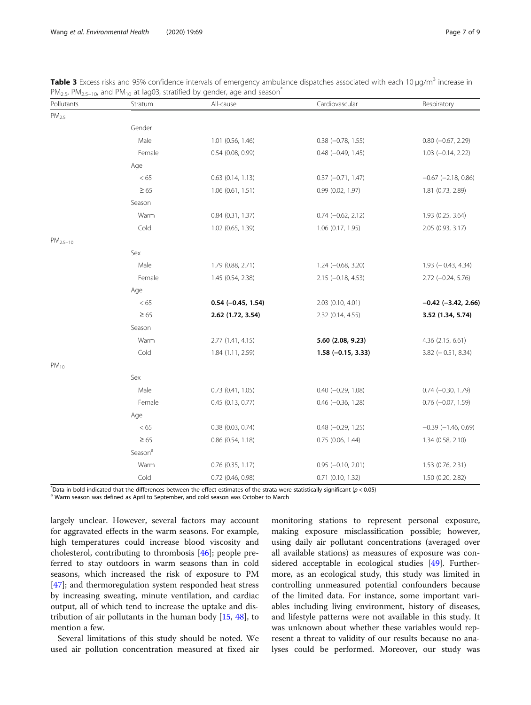| Pollutants        | Stratum             | All-cause             | Cardiovascular           | Respiratory               |
|-------------------|---------------------|-----------------------|--------------------------|---------------------------|
| PM <sub>2.5</sub> |                     |                       |                          |                           |
|                   | Gender              |                       |                          |                           |
|                   | Male                | $1.01$ (0.56, 1.46)   | $0.38$ $(-0.78, 1.55)$   | $0.80$ ( $-0.67$ , 2.29)  |
|                   | Female              | $0.54$ (0.08, 0.99)   | $0.48$ $(-0.49, 1.45)$   | $1.03 (-0.14, 2.22)$      |
|                   | Age                 |                       |                          |                           |
|                   | < 65                | $0.63$ $(0.14, 1.13)$ | $0.37 (-0.71, 1.47)$     | $-0.67$ ( $-2.18$ , 0.86) |
|                   | $\geq 65$           | 1.06(0.61, 1.51)      | 0.99 (0.02, 1.97)        | 1.81 (0.73, 2.89)         |
|                   | Season              |                       |                          |                           |
|                   | Warm                | 0.84 (0.31, 1.37)     | $0.74 (-0.62, 2.12)$     | 1.93 (0.25, 3.64)         |
|                   | Cold                | 1.02 (0.65, 1.39)     | 1.06 (0.17, 1.95)        | 2.05 (0.93, 3.17)         |
| $PM_{2.5-10}$     |                     |                       |                          |                           |
|                   | Sex                 |                       |                          |                           |
|                   | Male                | 1.79 (0.88, 2.71)     | $1.24 (-0.68, 3.20)$     | $1.93$ (-0.43, 4.34)      |
|                   | Female              | 1.45 (0.54, 2.38)     | $2.15 (-0.18, 4.53)$     | $2.72 (-0.24, 5.76)$      |
|                   | Age                 |                       |                          |                           |
|                   | < 65                | $0.54 (-0.45, 1.54)$  | 2.03 (0.10, 4.01)        | $-0.42$ ( $-3.42$ , 2.66) |
|                   | $\geq 65$           | 2.62 (1.72, 3.54)     | 2.32 (0.14, 4.55)        | 3.52 (1.34, 5.74)         |
|                   | Season              |                       |                          |                           |
|                   | Warm                | 2.77 (1.41, 4.15)     | 5.60 (2.08, 9.23)        | 4.36 (2.15, 6.61)         |
|                   | Cold                | 1.84 (1.11, 2.59)     | $1.58 (-0.15, 3.33)$     | $3.82$ (-0.51, 8.34)      |
| $PM_{10}$         |                     |                       |                          |                           |
|                   | Sex                 |                       |                          |                           |
|                   | Male                | $0.73$ $(0.41, 1.05)$ | $0.40$ (-0.29, 1.08)     | $0.74 (-0.30, 1.79)$      |
|                   | Female              | $0.45$ (0.13, 0.77)   | $0.46$ ( $-0.36$ , 1.28) | $0.76$ ( $-0.07$ , 1.59)  |
|                   | Age                 |                       |                          |                           |
|                   | < 65                | $0.38$ (0.03, 0.74)   | $0.48$ $(-0.29, 1.25)$   | $-0.39$ $(-1.46, 0.69)$   |
|                   | $\geq 65$           | $0.86$ $(0.54, 1.18)$ | $0.75$ (0.06, 1.44)      | 1.34 (0.58, 2.10)         |
|                   | Season <sup>a</sup> |                       |                          |                           |
|                   | Warm                | $0.76$ (0.35, 1.17)   | $0.95 (-0.10, 2.01)$     | 1.53 (0.76, 2.31)         |
|                   | Cold                | 0.72 (0.46, 0.98)     | 0.71 (0.10, 1.32)        | 1.50 (0.20, 2.82)         |

<span id="page-6-0"></span>Table 3 Excess risks and 95% confidence intervals of emergency ambulance dispatches associated with each 10 µg/m<sup>3</sup> increase in  $PM_{2.5}$ ,  $PM_{2.5-10}$ , and  $PM_{10}$  at lag03, stratified by gender, age and season<sup>\*</sup>

\*Data in bold indicated that the differences between the effect estimates of the strata were statistically significant (p < 0.05)<br><sup>a</sup> Warm season was defined as April to September, and cold season was October to March

largely unclear. However, several factors may account for aggravated effects in the warm seasons. For example, high temperatures could increase blood viscosity and cholesterol, contributing to thrombosis [[46\]](#page-8-0); people preferred to stay outdoors in warm seasons than in cold seasons, which increased the risk of exposure to PM [[47\]](#page-8-0); and thermoregulation system responded heat stress by increasing sweating, minute ventilation, and cardiac output, all of which tend to increase the uptake and distribution of air pollutants in the human body [\[15,](#page-7-0) [48\]](#page-8-0), to mention a few.

Several limitations of this study should be noted. We used air pollution concentration measured at fixed air

monitoring stations to represent personal exposure, making exposure misclassification possible; however, using daily air pollutant concentrations (averaged over all available stations) as measures of exposure was considered acceptable in ecological studies [[49](#page-8-0)]. Furthermore, as an ecological study, this study was limited in controlling unmeasured potential confounders because of the limited data. For instance, some important variables including living environment, history of diseases, and lifestyle patterns were not available in this study. It was unknown about whether these variables would represent a threat to validity of our results because no analyses could be performed. Moreover, our study was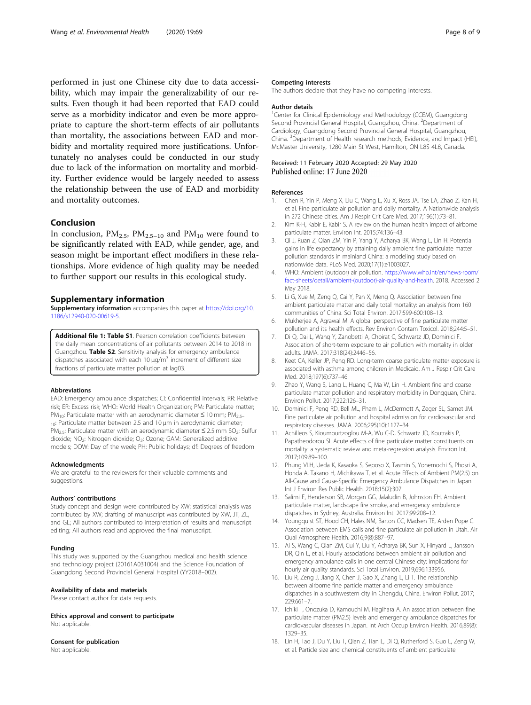<span id="page-7-0"></span>performed in just one Chinese city due to data accessibility, which may impair the generalizability of our results. Even though it had been reported that EAD could serve as a morbidity indicator and even be more appropriate to capture the short-term effects of air pollutants than mortality, the associations between EAD and morbidity and mortality required more justifications. Unfortunately no analyses could be conducted in our study due to lack of the information on mortality and morbidity. Further evidence would be largely needed to assess the relationship between the use of EAD and morbidity and mortality outcomes.

## Conclusion

In conclusion,  $PM_{2.5}$ ,  $PM_{2.5-10}$  and  $PM_{10}$  were found to be significantly related with EAD, while gender, age, and season might be important effect modifiers in these relationships. More evidence of high quality may be needed to further support our results in this ecological study.

#### Supplementary information

Supplementary information accompanies this paper at [https://doi.org/10.](https://doi.org/10.1186/s12940-020-00619-5) [1186/s12940-020-00619-5](https://doi.org/10.1186/s12940-020-00619-5).

Additional file 1: Table S1. Pearson correlation coefficients between the daily mean concentrations of air pollutants between 2014 to 2018 in Guangzhou. Table S2. Sensitivity analysis for emergency ambulance dispatches associated with each 10  $\mu$ g/m<sup>3</sup> increment of different size fractions of particulate matter pollution at lag03.

#### Abbreviations

EAD: Emergency ambulance dispatches; CI: Confidential intervals; RR: Relative risk; ER: Excess risk; WHO: World Health Organization; PM: Particulate matter; PM<sub>10</sub>: Particulate matter with an aerodynamic diameter ≤ 10 mm; PM<sub>2.5–</sub> 10: Particulate matter between 2.5 and 10 μm in aerodynamic diameter; PM<sub>2.5</sub>: Particulate matter with an aerodynamic diameter ≤ 2.5 mm SO<sub>2</sub>: Sulfur dioxide; NO<sub>2</sub>: Nitrogen dioxide; O<sub>3</sub>: Ozone; GAM: Generalized additive models; DOW: Day of the week; PH: Public holidays; df: Degrees of freedom

#### Acknowledgments

We are grateful to the reviewers for their valuable comments and suggestions.

#### Authors' contributions

Study concept and design were contributed by XW; statistical analysis was contributed by XW; drafting of manuscript was contributed by XW, JT, ZL, and GL; All authors contributed to interpretation of results and manuscript editing; All authors read and approved the final manuscript.

### Funding

This study was supported by the Guangzhou medical and health science and technology project (20161A031004) and the Science Foundation of Guangdong Second Provincial General Hospital (YY2018–002).

#### Availability of data and materials

Please contact author for data requests.

Ethics approval and consent to participate Not applicable.

#### Consent for publication

Not applicable.

#### Competing interests

The authors declare that they have no competing interests.

#### Author details

<sup>1</sup>Center for Clinical Epidemiology and Methodology (CCEM), Guangdong Second Provincial General Hospital, Guangzhou, China. <sup>2</sup>Department of Cardiology, Guangdong Second Provincial General Hospital, Guangzhou, China. <sup>3</sup>Department of Health research methods, Evidence, and Impact (HEI) McMaster University, 1280 Main St West, Hamilton, ON L8S 4L8, Canada.

#### Received: 11 February 2020 Accepted: 29 May 2020 Published online: 17 June 2020

#### References

- 1. Chen R, Yin P, Meng X, Liu C, Wang L, Xu X, Ross JA, Tse LA, Zhao Z, Kan H, et al. Fine particulate air pollution and daily mortality. A Nationwide analysis in 272 Chinese cities. Am J Respir Crit Care Med. 2017;196(1):73–81.
- 2. Kim K-H, Kabir E, Kabir S. A review on the human health impact of airborne particulate matter. Environ Int. 2015;74:136–43.
- 3. Qi J, Ruan Z, Qian ZM, Yin P, Yang Y, Acharya BK, Wang L, Lin H. Potential gains in life expectancy by attaining daily ambient fine particulate matter pollution standards in mainland China: a modeling study based on nationwide data. PLoS Med. 2020;17(1):e1003027.
- 4. WHO: Ambient (outdoor) air pollution. [https://www.who.int/en/news-room/](https://www.who.int/en/news-room/fact-sheets/detail/ambient-(outdoor)-air-quality-and-health) [fact-sheets/detail/ambient-\(outdoor\)-air-quality-and-health.](https://www.who.int/en/news-room/fact-sheets/detail/ambient-(outdoor)-air-quality-and-health) 2018. Accessed 2 May 2018.
- 5. Li G, Xue M, Zeng Q, Cai Y, Pan X, Meng Q. Association between fine ambient particulate matter and daily total mortality: an analysis from 160 communities of China. Sci Total Environ. 2017;599-600:108–13.
- 6. Mukherjee A, Agrawal M. A global perspective of fine particulate matter pollution and its health effects. Rev Environ Contam Toxicol. 2018;244:5–51.
- 7. Di Q, Dai L, Wang Y, Zanobetti A, Choirat C, Schwartz JD, Dominici F. Association of short-term exposure to air pollution with mortality in older adults. JAMA. 2017;318(24):2446–56.
- 8. Keet CA, Keller JP, Peng RD. Long-term coarse particulate matter exposure is associated with asthma among children in Medicaid. Am J Respir Crit Care Med. 2018;197(6):737–46.
- 9. Zhao Y, Wang S, Lang L, Huang C, Ma W, Lin H. Ambient fine and coarse particulate matter pollution and respiratory morbidity in Dongguan, China. Environ Pollut. 2017;222:126–31.
- 10. Dominici F, Peng RD, Bell ML, Pham L, McDermott A, Zeger SL, Samet JM. Fine particulate air pollution and hospital admission for cardiovascular and respiratory diseases. JAMA. 2006;295(10):1127–34.
- 11. Achilleos S, Kioumourtzoglou M-A, Wu C-D, Schwartz JD, Koutrakis P, Papatheodorou SI. Acute effects of fine particulate matter constituents on mortality: a systematic review and meta-regression analysis. Environ Int. 2017;109:89–100.
- 12. Phung VLH, Ueda K, Kasaoka S, Seposo X, Tasmin S, Yonemochi S, Phosri A, Honda A, Takano H, Michikawa T, et al. Acute Effects of Ambient PM(2.5) on All-Cause and Cause-Specific Emergency Ambulance Dispatches in Japan. Int J Environ Res Public Health. 2018;15(2):307.
- 13. Salimi F, Henderson SB, Morgan GG, Jalaludin B, Johnston FH. Ambient particulate matter, landscape fire smoke, and emergency ambulance dispatches in Sydney, Australia. Environ Int. 2017;99:208–12.
- 14. Youngquist ST, Hood CH, Hales NM, Barton CC, Madsen TE, Arden Pope C. Association between EMS calls and fine particulate air pollution in Utah. Air Qual Atmosphere Health. 2016;9(8):887–97.
- 15. Ai S, Wang C, Qian ZM, Cui Y, Liu Y, Acharya BK, Sun X, Hinyard L, Jansson DR, Qin L, et al. Hourly associations between ambient air pollution and emergency ambulance calls in one central Chinese city: implications for hourly air quality standards. Sci Total Environ. 2019;696:133956.
- 16. Liu R, Zeng J, Jiang X, Chen J, Gao X, Zhang L, Li T. The relationship between airborne fine particle matter and emergency ambulance dispatches in a southwestern city in Chengdu, China. Environ Pollut. 2017; 229:661–7.
- 17. Ichiki T, Onozuka D, Kamouchi M, Hagihara A. An association between fine particulate matter (PM2.5) levels and emergency ambulance dispatches for cardiovascular diseases in Japan. Int Arch Occup Environ Health. 2016;89(8): 1329–35.
- 18. Lin H, Tao J, Du Y, Liu T, Qian Z, Tian L, Di Q, Rutherford S, Guo L, Zeng W, et al. Particle size and chemical constituents of ambient particulate